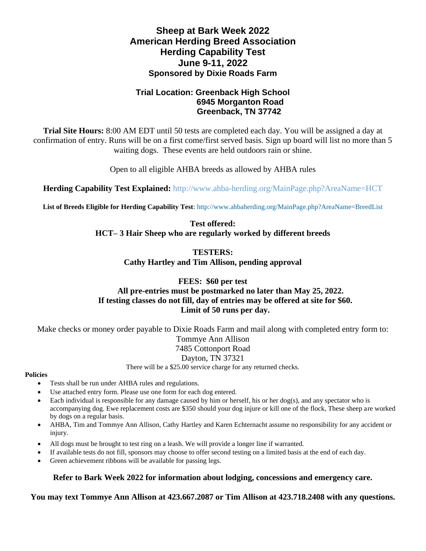# **Sheep at Bark Week 2022 American Herding Breed Association Herding Capability Test June 9-11, 2022 Sponsored by Dixie Roads Farm**

## **Trial Location: Greenback High School 6945 Morganton Road Greenback, TN 37742**

**Trial Site Hours:** 8:00 AM EDT until 50 tests are completed each day. You will be assigned a day at confirmation of entry. Runs will be on a first come/first served basis. Sign up board will list no more than 5 waiting dogs. These events are held outdoors rain or shine.

Open to all eligible AHBA breeds as allowed by AHBA rules

**Herding Capability Test Explained:** <http://www.ahba-herding.org/MainPage.php?AreaName=HCT>

**List of Breeds Eligible for Herding Capability Test**:<http://www.ahbaherding.org/MainPage.php?AreaName=BreedList>

**Test offered: HCT– 3 Hair Sheep who are regularly worked by different breeds**

> **TESTERS: Cathy Hartley and Tim Allison, pending approval**

## **FEES: \$60 per test All pre-entries must be postmarked no later than May 25, 2022. If testing classes do not fill, day of entries may be offered at site for \$60. Limit of 50 runs per day.**

Make checks or money order payable to Dixie Roads Farm and mail along with completed entry form to: Tommye Ann Allison 7485 Cottonport Road Dayton, TN 37321 There will be a \$25.00 service charge for any returned checks.

### **Policies**

- Tests shall be run under AHBA rules and regulations.
- Use attached entry form. Please use one form for each dog entered.
- Each individual is responsible for any damage caused by him or herself, his or her dog(s), and any spectator who is accompanying dog. Ewe replacement costs are \$350 should your dog injure or kill one of the flock, These sheep are worked by dogs on a regular basis.
- AHBA, Tim and Tommye Ann Allison, Cathy Hartley and Karen Echternacht assume no responsibility for any accident or injury.
- All dogs must be brought to test ring on a leash. We will provide a longer line if warranted.
- If available tests do not fill, sponsors may choose to offer second testing on a limited basis at the end of each day.
- Green achievement ribbons will be available for passing legs.

## **Refer to Bark Week 2022 for information about lodging, concessions and emergency care.**

**You may text Tommye Ann Allison at 423.667.2087 or Tim Allison at 423.718.2408 with any questions.**